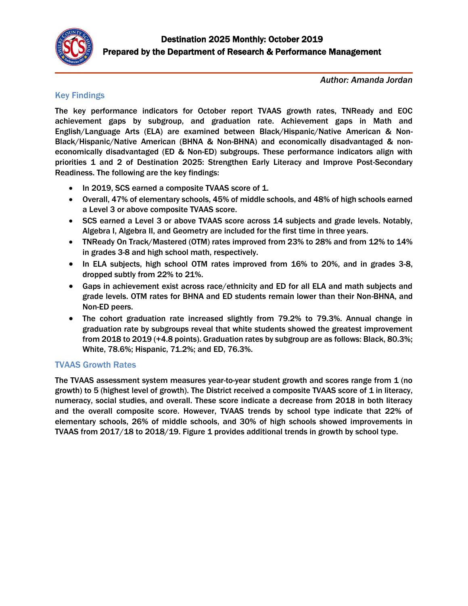

*Author: Amanda Jordan*

### Key Findings

The key performance indicators for October report TVAAS growth rates, TNReady and EOC achievement gaps by subgroup, and graduation rate. Achievement gaps in Math and English/Language Arts (ELA) are examined between Black/Hispanic/Native American & Non-Black/Hispanic/Native American (BHNA & Non-BHNA) and economically disadvantaged & noneconomically disadvantaged (ED & Non-ED) subgroups. These performance indicators align with priorities 1 and 2 of Destination 2025: Strengthen Early Literacy and Improve Post-Secondary Readiness. The following are the key findings:

- In 2019, SCS earned a composite TVAAS score of 1.
- Overall, 47% of elementary schools, 45% of middle schools, and 48% of high schools earned a Level 3 or above composite TVAAS score.
- SCS earned a Level 3 or above TVAAS score across 14 subjects and grade levels. Notably, Algebra I, Algebra II, and Geometry are included for the first time in three years.
- TNReady On Track/Mastered (OTM) rates improved from 23% to 28% and from 12% to 14% in grades 3-8 and high school math, respectively.
- In ELA subjects, high school OTM rates improved from 16% to 20%, and in grades 3-8, dropped subtly from 22% to 21%.
- Gaps in achievement exist across race/ethnicity and ED for all ELA and math subjects and grade levels. OTM rates for BHNA and ED students remain lower than their Non-BHNA, and Non-ED peers.
- The cohort graduation rate increased slightly from 79.2% to 79.3%. Annual change in graduation rate by subgroups reveal that white students showed the greatest improvement from 2018 to 2019 (+4.8 points). Graduation rates by subgroup are as follows: Black, 80.3%; White, 78.6%; Hispanic, 71.2%; and ED, 76.3%.

### TVAAS Growth Rates

The TVAAS assessment system measures year-to-year student growth and scores range from 1 (no growth) to 5 (highest level of growth). The District received a composite TVAAS score of 1 in literacy, numeracy, social studies, and overall. These score indicate a decrease from 2018 in both literacy and the overall composite score. However, TVAAS trends by school type indicate that 22% of elementary schools, 26% of middle schools, and 30% of high schools showed improvements in TVAAS from 2017/18 to 2018/19. Figure 1 provides additional trends in growth by school type.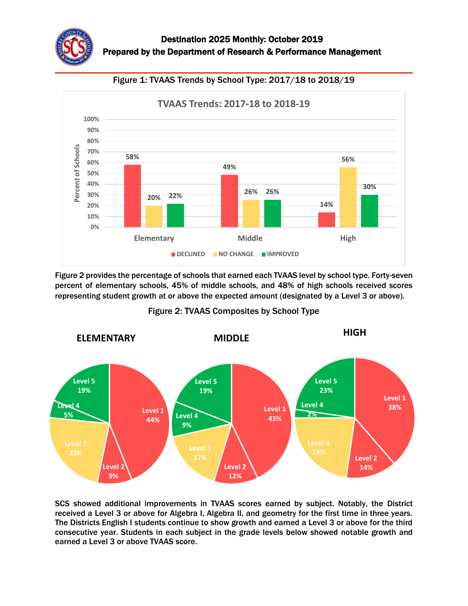



Figure 2 provides the percentage of schools that earned each TVAAS level by school type. Forty-seven percent of elementary schools, 45% of middle schools, and 48% of high schools received scores representing student growth at or above the expected amount (designated by a Level 3 or above).



Figure 2: TVAAS Composites by School Type

SCS showed additional improvements in TVAAS scores earned by subject. Notably, the District received a Level 3 or above for Algebra I, Algebra II, and geometry for the first time in three years. The Districts English I students continue to show growth and earned a Level 3 or above for the third consecutive year. Students in each subject in the grade levels below showed notable growth and earned a Level 3 or above TVAAS score.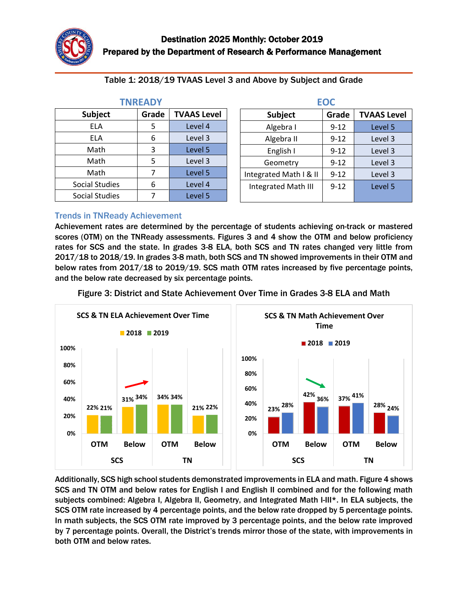| (FAI) Y               |       |                    |  |
|-----------------------|-------|--------------------|--|
| <b>Subject</b>        | Grade | <b>TVAAS Level</b> |  |
| ELA                   | 5     | Level 4            |  |
| ELA                   | 6     | Level 3            |  |
| Math                  | 3     | Level 5            |  |
| Math                  | 5     | Level 3            |  |
| Math                  |       | Level 5            |  |
| <b>Social Studies</b> | 6     | Level 4            |  |
| Social Studies        |       | Level 5            |  |

**TNREADY**

| Table 1: 2018/19 TVAAS Level 3 and Above by Subject and Grade |  |
|---------------------------------------------------------------|--|
|---------------------------------------------------------------|--|

| <b>EOC</b>                 |          |                    |  |
|----------------------------|----------|--------------------|--|
| <b>Subject</b>             | Grade    | <b>TVAAS Level</b> |  |
| Algebra I                  | $9 - 12$ | Level 5            |  |
| Algebra II                 | $9 - 12$ | Level 3            |  |
| English I                  | $9 - 12$ | Level 3            |  |
| Geometry                   | $9 - 12$ | Level 3            |  |
| Integrated Math I & II     | $9 - 12$ | Level 3            |  |
| <b>Integrated Math III</b> | $9 - 12$ | Level 5            |  |

#### Trends in TNReady Achievement

Achievement rates are determined by the percentage of students achieving on-track or mastered scores (OTM) on the TNReady assessments. Figures 3 and 4 show the OTM and below proficiency rates for SCS and the state. In grades 3-8 ELA, both SCS and TN rates changed very little from 2017/18 to 2018/19. In grades 3-8 math, both SCS and TN showed improvements in their OTM and below rates from 2017/18 to 2019/19. SCS math OTM rates increased by five percentage points, and the below rate decreased by six percentage points.



Figure 3: District and State Achievement Over Time in Grades 3-8 ELA and Math

Additionally, SCS high school students demonstrated improvements in ELA and math. Figure 4 shows SCS and TN OTM and below rates for English I and English II combined and for the following math subjects combined: Algebra I, Algebra II, Geometry, and Integrated Math I-III\*. In ELA subjects, the SCS OTM rate increased by 4 percentage points, and the below rate dropped by 5 percentage points. In math subjects, the SCS OTM rate improved by 3 percentage points, and the below rate improved by 7 percentage points. Overall, the District's trends mirror those of the state, with improvements in both OTM and below rates.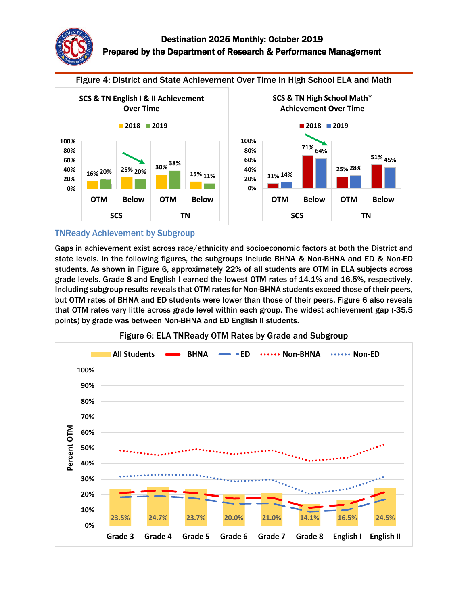

Figure 4: District and State Achievement Over Time in High School ELA and Math



#### TNReady Achievement by Subgroup

Gaps in achievement exist across race/ethnicity and socioeconomic factors at both the District and state levels. In the following figures, the subgroups include BHNA & Non-BHNA and ED & Non-ED students. As shown in Figure 6, approximately 22% of all students are OTM in ELA subjects across grade levels. Grade 8 and English I earned the lowest OTM rates of 14.1% and 16.5%, respectively. Including subgroup results reveals that OTM rates for Non-BHNA students exceed those of their peers, but OTM rates of BHNA and ED students were lower than those of their peers. Figure 6 also reveals that OTM rates vary little across grade level within each group. The widest achievement gap (-35.5 points) by grade was between Non-BHNA and ED English II students.



Figure 6: ELA TNReady OTM Rates by Grade and Subgroup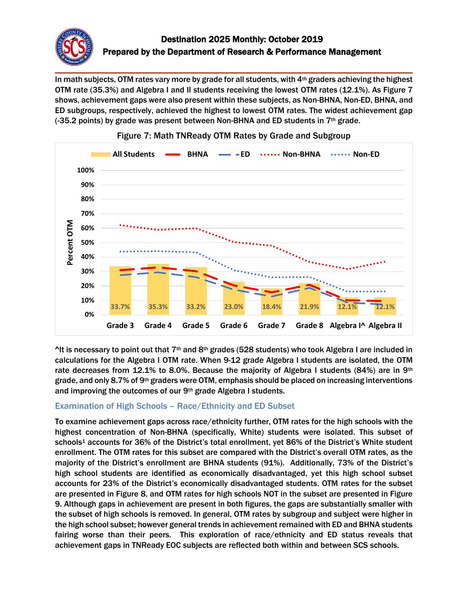

In math subjects, OTM rates vary more by grade for all students, with 4<sup>th</sup> graders achieving the highest OTM rate (35.3%) and Algebra I and II students receiving the lowest OTM rates (12.1%). As Figure 7 shows, achievement gaps were also present within these subjects, as Non-BHNA, Non-ED, BHNA, and ED subgroups, respectively, achieved the highest to lowest OTM rates. The widest achievement gap (-35.2 points) by grade was present between Non-BHNA and ED students in 7th grade.



### Figure 7: Math TNReady OTM Rates by Grade and Subgroup

 $\Delta$ It is necessary to point out that 7<sup>th</sup> and 8<sup>th</sup> grades (528 students) who took Algebra I are included in calculations for the Algebra I OTM rate. When 9-12 grade Algebra I students are isolated, the OTM rate decreases from 12.1% to 8.0%. Because the majority of Algebra I students (84%) are in 9<sup>th</sup> grade, and only 8.7% of 9th graders were OTM, emphasis should be placed on increasing interventions and improving the outcomes of our 9th grade Algebra I students.

### Examination of High Schools – Race/Ethnicity and ED Subset

To examine achievement gaps across race/ethnicity further, OTM rates for the high schools with the highest concentration of Non-BHNA (specifically, White) students were isolated. This subset of schools<sup>1</sup> accounts for 36% of the District's total enrollment, yet 86% of the District's White student enrollment. The OTM rates for this subset are compared with the District's overall OTM rates, as the majority of the District's enrollment are BHNA students (91%). Additionally, 73% of the District's high school students are identified as economically disadvantaged, yet this high school subset accounts for 23% of the District's economically disadvantaged students. OTM rates for the subset are presented in Figure 8, and OTM rates for high schools NOT in the subset are presented in Figure 9. Although gaps in achievement are present in both figures, the gaps are substantially smaller with the subset of high schools is removed. In general, OTM rates by subgroup and subject were higher in the high school subset; however general trends in achievement remained with ED and BHNA students fairing worse than their peers. This exploration of race/ethnicity and ED status reveals that achievement gaps in TNReady EOC subjects are reflected both within and between SCS schools.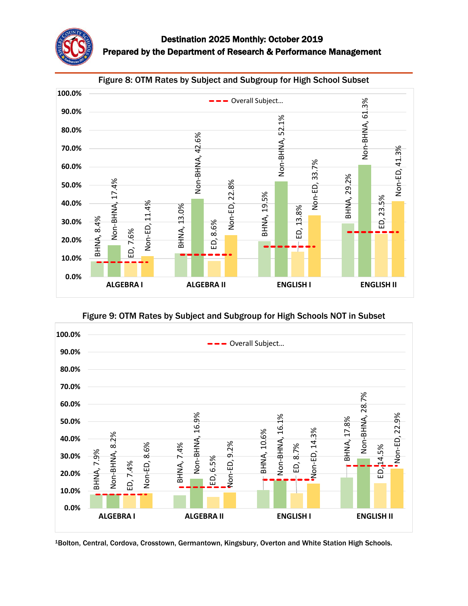



Figure 9: OTM Rates by Subject and Subgroup for High Schools NOT in Subset

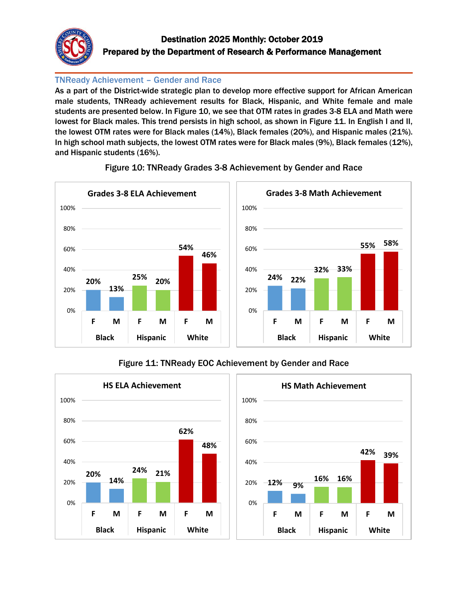

# Destination 2025 Monthly: October 2019 Prepared by the Department of Research & Performance Management

### TNReady Achievement – Gender and Race

As a part of the District-wide strategic plan to develop more effective support for African American male students, TNReady achievement results for Black, Hispanic, and White female and male students are presented below. In Figure 10, we see that OTM rates in grades 3-8 ELA and Math were lowest for Black males. This trend persists in high school, as shown in Figure 11. In English I and II, the lowest OTM rates were for Black males (14%), Black females (20%), and Hispanic males (21%). In high school math subjects, the lowest OTM rates were for Black males (9%), Black females (12%), and Hispanic students (16%).



### Figure 10: TNReady Grades 3-8 Achievement by Gender and Race

### Figure 11: TNReady EOC Achievement by Gender and Race

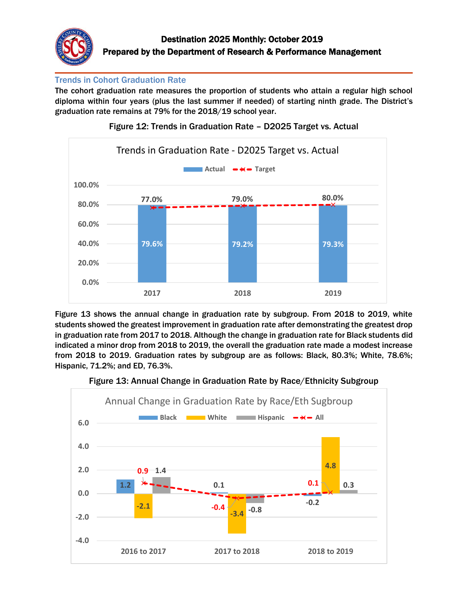

### Trends in Cohort Graduation Rate

The cohort graduation rate measures the proportion of students who attain a regular high school diploma within four years (plus the last summer if needed) of starting ninth grade. The District's graduation rate remains at 79% for the 2018/19 school year.



Figure 12: Trends in Graduation Rate – D2025 Target vs. Actual

Figure 13 shows the annual change in graduation rate by subgroup. From 2018 to 2019, white students showed the greatest improvement in graduation rate after demonstrating the greatest drop in graduation rate from 2017 to 2018. Although the change in graduation rate for Black students did indicated a minor drop from 2018 to 2019, the overall the graduation rate made a modest increase from 2018 to 2019. Graduation rates by subgroup are as follows: Black, 80.3%; White, 78.6%; Hispanic, 71.2%; and ED, 76.3%.